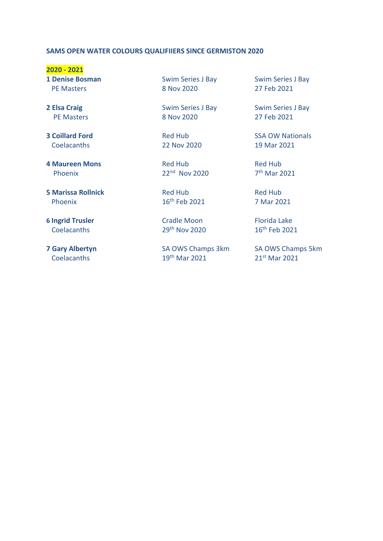## **SAMS OPEN WATER COLOURS QUALIFIIERS SINCE GERMISTON 2020**

**2020 - 2021**

Coelacanths 22 Nov 2020 19 Mar 2021

**4 Maureen Mons** Red Hub Red Hub Phoenix

**5 Marissa Rollnick Red Hub Red Hub Red Hub** Red Hub Phoenix 16th Feb 2021 7 Mar 2021

**6 Ingrid Trusler** Cradle Moon Florida Lake<br>Coelacanths 29<sup>th</sup> Nov 2020 16<sup>th</sup> Feb 2021  $Coelacanths$  29<sup>th</sup> Nov 2020

**1 Denise Bosman** Swim Series J Bay Swim Series J Bay PE Masters 8 Nov 2020 27 Feb 2021

**2 Elsa Craig** Swim Series J Bay Swim Series J Bay PE Masters 8 Nov 2020 27 Feb 2021

 $22<sup>nd</sup>$  Nov 2020

Coelacanths 19th Mar 2021 21st Mar 2021

**3 Coillard Ford Red Hub SSA OW Nationals** 

 $7<sup>th</sup>$  Mar 2021

**7 Gary Albertyn** SA OWS Champs 3km SA OWS Champs 5km